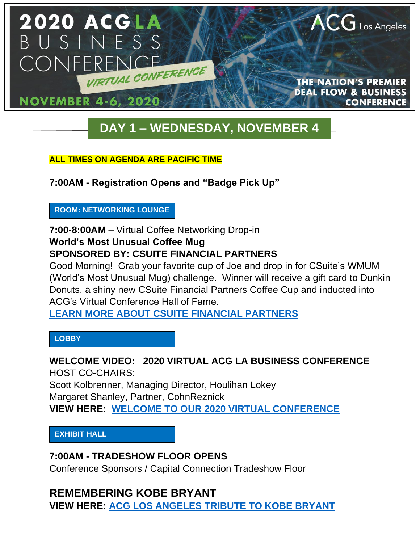

# **DAY 1 – WEDNESDAY, NOVEMBER 4**

**15**

#### **ALL TIMES ON AGENDA ARE PACIFIC TIME**

**7:00AM - Registration Opens and "Badge Pick Up"** 

**ROOM: NETWORKING LOUNGE** 

# **7:00-8:00AM** – Virtual Coffee Networking Drop-in **World's Most Unusual Coffee Mug SPONSORED BY: CSUITE FINANCIAL PARTNERS**

Good Morning! Grab your favorite cup of Joe and drop in for CSuite's WMUM (World's Most Unusual Mug) challenge. Winner will receive a gift card to Dunkin Donuts, a shiny new CSuite Financial Partners Coffee Cup and inducted into ACG's Virtual Conference Hall of Fame.

**[LEARN MORE ABOUT CSUITE FINANCIAL PARTNERS](https://www.csuitefinancialpartners.com/)**

**LOBBY**

**WELCOME VIDEO: 2020 VIRTUAL ACG LA BUSINESS CONFERENCE**  HOST CO-CHAIRS: Scott Kolbrenner, Managing Director, Houlihan Lokey Margaret Shanley, Partner, CohnReznick **VIEW HERE: [WELCOME TO OUR 2020 VIRTUAL CONFERENCE](https://vimeo.com/473508742)**

**EXHIBIT HALL** 

**7:00AM - TRADESHOW FLOOR OPENS** 

Conference Sponsors / Capital Connection Tradeshow Floor

**REMEMBERING KOBE BRYANT VIEW HERE: [ACG LOS ANGELES TRIBUTE TO KOBE BRYANT](https://vimeo.com/473545758)**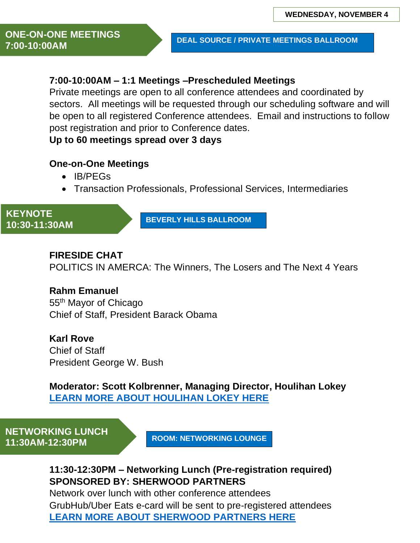#### **DEAL SOURCE / PRIVATE MEETINGS BALLROOM**

## **7:00-10:00AM – 1:1 Meetings –Prescheduled Meetings**

Private meetings are open to all conference attendees and coordinated by sectors. All meetings will be requested through our scheduling software and will be open to all registered Conference attendees. Email and instructions to follow post registration and prior to Conference dates.

# **Up to 60 meetings spread over 3 days**

#### **One-on-One Meetings**

- IB/PEGs
- Transaction Professionals, Professional Services, Intermediaries

#### **KEYNOTE 10:30-11:30AM**

**BEVERLY HILLS BALLROOM**

## **FIRESIDE CHAT**

POLITICS IN AMERCA: The Winners, The Losers and The Next 4 Years

#### **Rahm Emanuel**

55th Mayor of Chicago Chief of Staff, President Barack Obama

#### **Karl Rove**  Chief of Staff President George W. Bush

**Moderator: Scott Kolbrenner, Managing Director, Houlihan Lokey [LEARN MORE ABOUT HOULIHAN LOKEY HERE](https://vimeo.com/473989604)**

**NETWORKING LUNCH**

**11:30AM-12:30PM ROOM: NETWORKING LOUNGE**

## **11:30-12:30PM – Networking Lunch (Pre-registration required) SPONSORED BY: SHERWOOD PARTNERS**

Network over lunch with other conference attendees GrubHub/Uber Eats e-card will be sent to pre-registered attendees **[LEARN MORE ABOUT SHERWOOD PARTNERS HERE](https://vimeo.com/474030087)**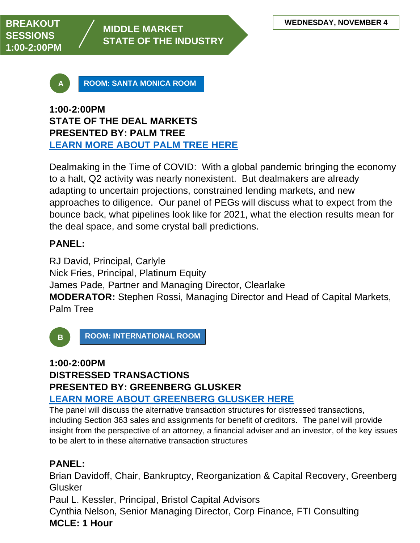

**ROOM: SANTA MONICA ROOM** 

#### **1:00-2:00PM STATE OF THE DEAL MARKETS PRESENTED BY: PALM TREE [LEARN MORE ABOUT PALM TREE HERE](https://www.palmtreellc.com/born-out-of-private-equity/) A A**

Dealmaking in the Time of COVID: With a global pandemic bringing the economy to a halt, Q2 activity was nearly nonexistent. But dealmakers are already adapting to uncertain projections, constrained lending markets, and new approaches to diligence. Our panel of PEGs will discuss what to expect from the bounce back, what pipelines look like for 2021, what the election results mean for the deal space, and some crystal ball predictions.

# **PANEL:**

RJ David, Principal, Carlyle Nick Fries, Principal, Platinum Equity James Pade, Partner and Managing Director, Clearlake **MODERATOR:** Stephen Rossi, Managing Director and Head of Capital Markets, Palm Tree



**ROOM: INTERNATIONAL ROOM**

#### **1:00-2:00PM A**

# **DISTRESSED TRANSACTIONS PRESENTED BY: GREENBERG GLUSKER**

# **[LEARN MORE ABOUT GREENBERG GLUSKER HERE](https://www.greenbergglusker.com/bankruptcy-reorganization-capital-recovery/)**

The panel will discuss the alternative transaction structures for distressed transactions, including Section 363 sales and assignments for benefit of creditors. The panel will provide insight from the perspective of an attorney, a financial adviser and an investor, of the key issues to be alert to in these alternative transaction structures

# **PANEL:**

Brian Davidoff, Chair, Bankruptcy, Reorganization & Capital Recovery, Greenberg Glusker

Paul L. Kessler, Principal, Bristol Capital Advisors

Cynthia Nelson, Senior Managing Director, Corp Finance, FTI Consulting **MCLE: 1 Hour**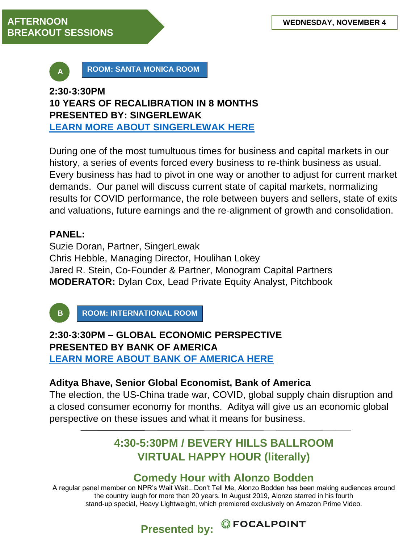

**ROOM: SANTA MONICA ROOM**

# **2:30-3:30PM A**

# **10 YEARS OF RECALIBRATION IN 8 MONTHS A PRESENTED BY: SINGERLEWAK [LEARN MORE ABOUT SINGERLEWAK](https://www.singerlewak.com/) HERE**

During one of the most tumultuous times for business and capital markets in our history, a series of events forced every business to re-think business as usual. Every business has had to pivot in one way or another to adjust for current market demands. Our panel will discuss current state of capital markets, normalizing results for COVID performance, the role between buyers and sellers, state of exits and valuations, future earnings and the re-alignment of growth and consolidation.

# **PANEL:**

Suzie Doran, Partner, SingerLewak Chris Hebble, Managing Director, Houlihan Lokey Jared R. Stein, Co-Founder & Partner, Monogram Capital Partners **MODERATOR:** Dylan Cox, Lead Private Equity Analyst, Pitchbook



**ROOM: INTERNATIONAL ROOM**

# **2:30-3:30PM – GLOBAL ECONOMIC PERSPECTIVE A PRESENTED BY BANK OF AMERICA A**

**[LEARN MORE ABOUT BANK OF AMERICA HERE](https://www.bofaml.com/en-us/content/business-banking.html)**

# **Aditya Bhave, Senior Global Economist, Bank of America**

The election, the US-China trade war, COVID, global supply chain disruption and a closed consumer economy for months. Aditya will give us an economic global perspective on these issues and what it means for business.

# **4:30-5:30PM / BEVERY HILLS BALLROOM VIRTUAL HAPPY HOUR (literally)**

# **Comedy Hour with Alonzo Bodden**

A regular panel member on NPR's Wait Wait...Don't Tell Me, Alonzo Bodden has been making audiences around the country laugh for more than 20 years. In August 2019, Alonzo starred in his fourth stand-up special, Heavy Lightweight, which premiered exclusively on Amazon Prime Video.

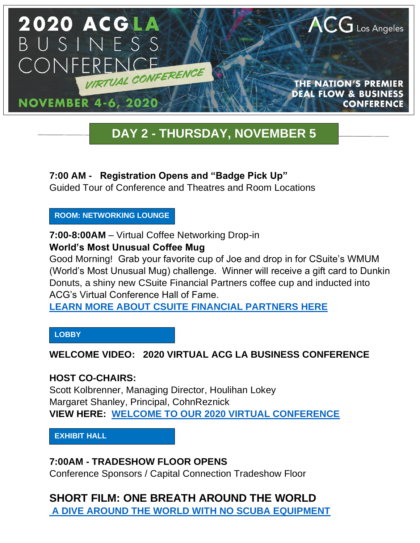

# **DAY 2 - THURSDAY, NOVEMBER 5**

# **7:00 AM - Registration Opens and "Badge Pick Up"**

Guided Tour of Conference and Theatres and Room Locations

#### **ROOM: NETWORKING LOUNGE**

# **7:00-8:00AM** – Virtual Coffee Networking Drop-in

#### **World's Most Unusual Coffee Mug**

Good Morning! Grab your favorite cup of Joe and drop in for CSuite's WMUM (World's Most Unusual Mug) challenge. Winner will receive a gift card to Dunkin Donuts, a shiny new CSuite Financial Partners coffee cup and inducted into ACG's Virtual Conference Hall of Fame.

**[LEARN MORE ABOUT CSUITE FINANCIAL PARTNERS](https://www.csuitefinancialpartners.com/) HERE**

#### **LOBBY**

# **WELCOME VIDEO: 2020 VIRTUAL ACG LA BUSINESS CONFERENCE**

#### **HOST CO-CHAIRS:**

Scott Kolbrenner, Managing Director, Houlihan Lokey Margaret Shanley, Principal, CohnReznick **VIEW HERE: [WELCOME TO OUR 2020 VIRTUAL CONFERENCE](https://vimeo.com/473508742)**

**EXHIBIT HALL** 

# **7:00AM - TRADESHOW FLOOR OPENS**

Conference Sponsors / Capital Connection Tradeshow Floor

# **SHORT FILM: ONE BREATH AROUND THE WORLD**

**[A DIVE AROUND THE WORLD WITH NO SCUBA EQUIPMENT](https://www.bing.com/videos/search?q=one+breath+around+the+world&ru=%2fvideos%2fsearch%3fq%3done%2bbreath%2baround%2bthe%2bworld%26FORM%3dHDRSC4&view=detail&mid=A33E0D1C808A208F2CC5A33E0D1C808A208F2CC5&&FORM=VDRVSR)**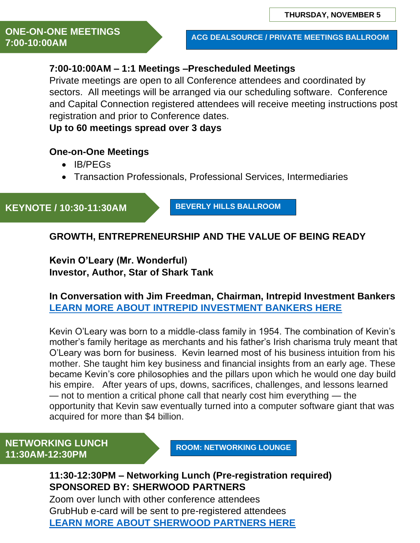**ACG DEALSOURCE / PRIVATE MEETINGS BALLROOM** 

#### **7:00-10:00AM – 1:1 Meetings –Prescheduled Meetings**

Private meetings are open to all Conference attendees and coordinated by sectors. All meetings will be arranged via our scheduling software. Conference and Capital Connection registered attendees will receive meeting instructions post registration and prior to Conference dates.

**Up to 60 meetings spread over 3 days**

#### **One-on-One Meetings**

- IB/PEGs
- Transaction Professionals, Professional Services, Intermediaries

**KEYNOTE / 10:30-11:30AM**

**BEVERLY HILLS BALLROOM**

#### **GROWTH, ENTREPRENEURSHIP AND THE VALUE OF BEING READY**

**Kevin O'Leary (Mr. Wonderful) Investor, Author, Star of Shark Tank** 

**In Conversation with Jim Freedman, Chairman, Intrepid Investment Bankers [LEARN MORE ABOUT INTREPID INVESTMENT BANKERS HERE](https://intrepidib.com/)**

Kevin O'Leary was born to a middle-class family in 1954. The combination of Kevin's mother's family heritage as merchants and his father's Irish charisma truly meant that O'Leary was born for business. Kevin learned most of his business intuition from his mother. She taught him key business and financial insights from an early age. These became Kevin's core philosophies and the pillars upon which he would one day build his empire. After years of ups, downs, sacrifices, challenges, and lessons learned — not to mention a critical phone call that nearly cost him everything — the opportunity that Kevin saw eventually turned into a computer software giant that was acquired for more than \$4 billion.

**NETWORKING LUNCH 11:30AM-12:30PM**

**ROOM: NETWORKING LOUNGE**

**11:30-12:30PM – Networking Lunch (Pre-registration required) SPONSORED BY: SHERWOOD PARTNERS** 

Zoom over lunch with other conference attendees GrubHub e-card will be sent to pre-registered attendees **[LEARN MORE ABOUT SHERWOOD PARTNERS HERE](https://vimeo.com/474030087)**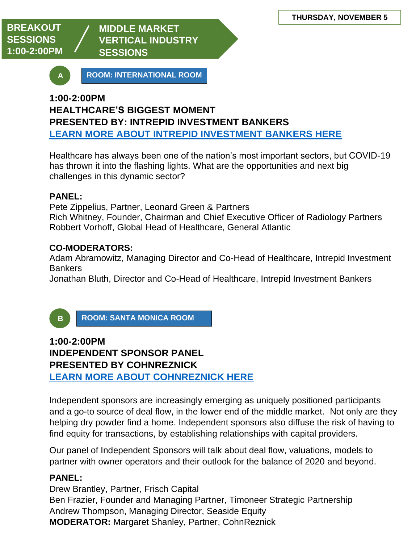# **MIDDLE MARKET VERTICAL INDUSTRY SESSIONS**



**ROOM: INTERNATIONAL ROOM**

# **1:00-2:00PM A**

# **HEALTHCARE'S BIGGEST MOMENT PRESENTED BY: INTREPID INVESTMENT BANKERS [LEARN MORE ABOUT INTREPID INVESTMENT BANKERS HERE](https://intrepidib.com/industries/healthcare/)**

Healthcare has always been one of the nation's most important sectors, but COVID-19 has thrown it into the flashing lights. What are the opportunities and next big challenges in this dynamic sector?

#### **PANEL:**

Pete Zippelius, Partner, Leonard Green & Partners Rich Whitney, Founder, Chairman and Chief Executive Officer of Radiology Partners Robbert Vorhoff, Global Head of Healthcare, General Atlantic

#### **CO-MODERATORS:**

Adam Abramowitz, Managing Director and Co-Head of Healthcare, Intrepid Investment **Bankers** 

Jonathan Bluth, Director and Co-Head of Healthcare, Intrepid Investment Bankers



**ROOM: SANTA MONICA ROOM**

# **1:00-2:00PM A INDEPENDENT SPONSOR PANEL PRESENTED BY COHNREZNICK [LEARN MORE ABOUT COHNREZNICK HERE](https://www.cohnreznick.com/)**

Independent sponsors are increasingly emerging as uniquely positioned participants and a go-to source of deal flow, in the lower end of the middle market. Not only are they helping dry powder find a home. Independent sponsors also diffuse the risk of having to find equity for transactions, by establishing relationships with capital providers.

Our panel of Independent Sponsors will talk about deal flow, valuations, models to partner with owner operators and their outlook for the balance of 2020 and beyond.

#### **PANEL:**

Drew Brantley, Partner, Frisch Capital Ben Frazier, Founder and Managing Partner, Timoneer Strategic Partnership Andrew Thompson, Managing Director, Seaside Equity **MODERATOR:** Margaret Shanley, Partner, CohnReznick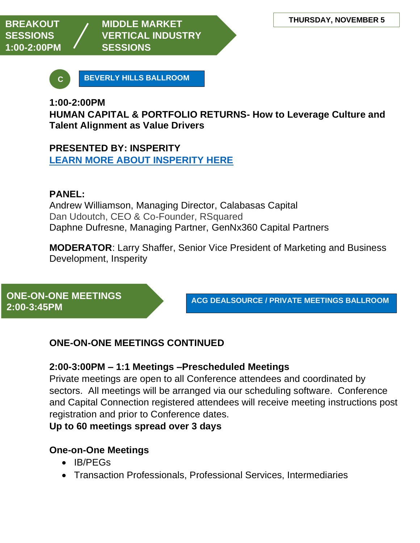# **MIDDLE MARKET VERTICAL INDUSTRY SESSIONS**



**BEVERLY HILLS BALLROOM**

# **1:00-2:00PM A**

**HUMAN CAPITAL & PORTFOLIO RETURNS- How to Leverage Culture and Talent Alignment as Value Drivers** 

# **PRESENTED BY: INSPERITY [LEARN MORE ABOUT INSPERITY HERE](https://www.youtube.com/watch?v=7ka9zRBxFbQ&feature=youtu.be)**

## **PANEL:**

Andrew Williamson, Managing Director, Calabasas Capital Dan Udoutch, CEO & Co-Founder, RSquared Daphne Dufresne, Managing Partner, GenNx360 Capital Partners

**MODERATOR**: Larry Shaffer, Senior Vice President of Marketing and Business Development, Insperity

**ONE-ON-ONE MEETINGS 2:00-3:45PM**

**ACG DEALSOURCE / PRIVATE MEETINGS BALLROOM** 

# **ONE-ON-ONE MEETINGS CONTINUED**

#### **2:00-3:00PM – 1:1 Meetings –Prescheduled Meetings**

Private meetings are open to all Conference attendees and coordinated by sectors. All meetings will be arranged via our scheduling software. Conference and Capital Connection registered attendees will receive meeting instructions post registration and prior to Conference dates.

#### **Up to 60 meetings spread over 3 days**

# **One-on-One Meetings**

- IB/PEGs
- Transaction Professionals, Professional Services, Intermediaries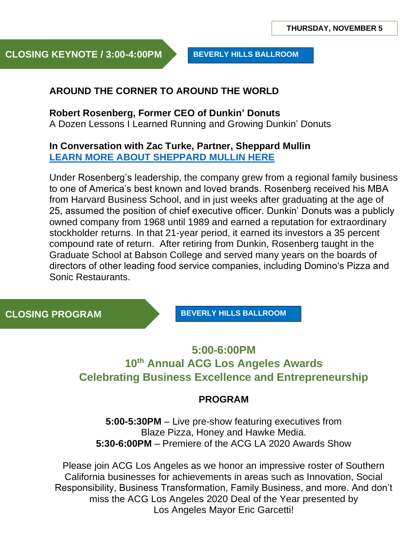**CLOSING KEYNOTE / 3:00-4:00PM**

**BEVERLY HILLS BALLROOM**

## **AROUND THE CORNER TO AROUND THE WORLD**

#### **Robert Rosenberg, Former CEO of Dunkin' Donuts**

A Dozen Lessons I Learned Running and Growing Dunkin' Donuts

#### **In Conversation with Zac Turke, Partner, Sheppard Mullin [LEARN MORE ABOUT SHEPPARD MULLIN HERE](https://www.sheppardmullin.com/about-message-from-our-chairman)**

Under Rosenberg's leadership, the company grew from a regional family business to one of America's best known and loved brands. Rosenberg received his MBA from Harvard Business School, and in just weeks after graduating at the age of 25, assumed the position of chief executive officer. Dunkin' Donuts was a publicly owned company from 1968 until 1989 and earned a reputation for extraordinary stockholder returns. In that 21-year period, it earned its investors a 35 percent compound rate of return. After retiring from Dunkin, Rosenberg taught in the Graduate School at Babson College and served many years on the boards of directors of other leading food service companies, including Domino's Pizza and Sonic Restaurants.

**CLOSING PROGRAM** 

**BEVERLY HILLS BALLROOM**

# **5:00-6:00PM 10th Annual ACG Los Angeles Awards Celebrating Business Excellence and Entrepreneurship**

#### **PROGRAM**

**5:00-5:30PM** – Live pre-show featuring executives from Blaze Pizza, Honey and Hawke Media. **5:30-6:00PM** – Premiere of the ACG LA 2020 Awards Show

Please join ACG Los Angeles as we honor an impressive roster of Southern California businesses for achievements in areas such as Innovation, Social Responsibility, Business Transformation, Family Business, and more. And don't miss the ACG Los Angeles 2020 Deal of the Year presented by Los Angeles Mayor Eric Garcetti!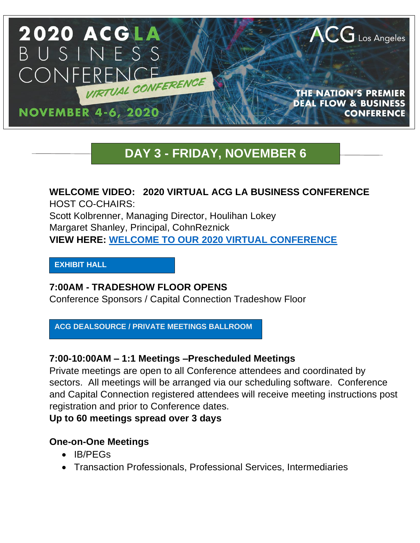

# **DAY 3 - FRIDAY, NOVEMBER 6**

# **WELCOME VIDEO: 2020 VIRTUAL ACG LA BUSINESS CONFERENCE**  HOST CO-CHAIRS: Scott Kolbrenner, Managing Director, Houlihan Lokey Margaret Shanley, Principal, CohnReznick **VIEW HERE: [WELCOME TO OUR 2020 VIRTUAL CONFERENCE](https://vimeo.com/473508742)**

#### **EXHIBIT HALL**

#### **7:00AM - TRADESHOW FLOOR OPENS**

Conference Sponsors / Capital Connection Tradeshow Floor

**ACG DEALSOURCE / PRIVATE MEETINGS BALLROOM** 

#### **7:00-10:00AM – 1:1 Meetings –Prescheduled Meetings**

Private meetings are open to all Conference attendees and coordinated by sectors. All meetings will be arranged via our scheduling software. Conference and Capital Connection registered attendees will receive meeting instructions post registration and prior to Conference dates.

**Up to 60 meetings spread over 3 days**

#### **One-on-One Meetings**

- IB/PEGs
- Transaction Professionals, Professional Services, Intermediaries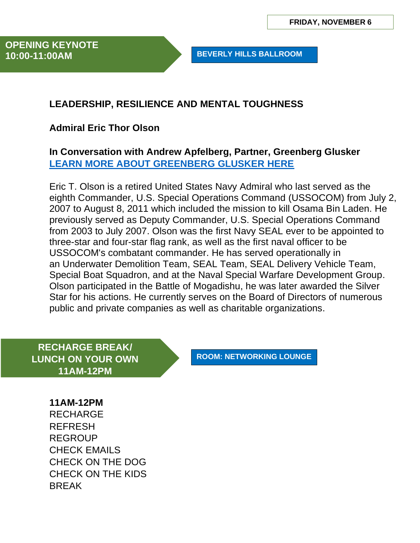**BEVERLY HILLS BALLROOM**

# **LEADERSHIP, RESILIENCE AND MENTAL TOUGHNESS**

## **Admiral Eric Thor Olson**

#### **In Conversation with Andrew Apfelberg, Partner, Greenberg Glusker [LEARN MORE ABOUT GREENBERG GLUSKER HERE](https://www.greenbergglusker.com/andrew-m-apfelberg/)**

Eric T. Olson is a retired [United States Navy](https://en.wikipedia.org/wiki/United_States_Navy) [Admiral](https://en.wikipedia.org/wiki/Admiral_(United_States)) who last served as the eighth Commander, [U.S. Special Operations Command](https://en.wikipedia.org/wiki/United_States_Special_Operations_Command) (USSOCOM) from July 2, 2007 to August 8, 2011 which included the mission to kill Osama Bin Laden. He previously served as Deputy Commander, U.S. Special Operations Command from 2003 to July 2007. Olson was the first [Navy SEAL](https://en.wikipedia.org/wiki/Navy_SEAL) ever to be appointed to three-star and four-star flag rank, as well as the first naval officer to be USSOCOM's combatant commander. He has served operationally in an [Underwater Demolition Team,](https://en.wikipedia.org/wiki/Underwater_Demolition_Team) SEAL Team, [SEAL Delivery Vehicle](https://en.wikipedia.org/wiki/SEAL_Delivery_Vehicle) Team, Special Boat Squadron, and at the [Naval Special Warfare Development Group.](https://en.wikipedia.org/wiki/Naval_Special_Warfare_Development_Group) Olson participated in the [Battle of Mogadishu,](https://en.wikipedia.org/wiki/Battle_of_Mogadishu_(1993)) he was later awarded the [Silver](https://en.wikipedia.org/wiki/Silver_Star)  [Star](https://en.wikipedia.org/wiki/Silver_Star) for his actions. He currently serves on the Board of Directors of numerous public and private companies as well as charitable organizations.

**RECHARGE BREAK/ LUNCH ON YOUR OWN 11AM-12PM**

**ROOM: NETWORKING LOUNGE**

**11AM-12PM**  RECHARGE REFRESH REGROUP CHECK EMAILS CHECK ON THE DOG CHECK ON THE KIDS BREAK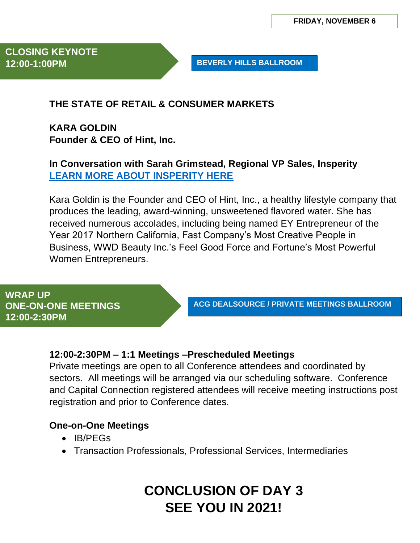**BEVERLY HILLS BALLROOM**

## **THE STATE OF RETAIL & CONSUMER MARKETS**

**KARA GOLDIN Founder & CEO of Hint, Inc.** 

## **In Conversation with Sarah Grimstead, Regional VP Sales, Insperity [LEARN MORE ABOUT INSPERITY HERE](https://www.youtube.com/watch?v=7ka9zRBxFbQ&feature=youtu.be)**

Kara Goldin is the Founder and CEO of Hint, Inc., a healthy lifestyle company that produces the leading, award-winning, unsweetened flavored water. She has received numerous accolades, including being named EY Entrepreneur of the Year 2017 Northern California, Fast Company's Most Creative People in Business, WWD Beauty Inc.'s Feel Good Force and Fortune's Most Powerful Women Entrepreneurs.

**WRAP UP ONE-ON-ONE MEETINGS 12:00-2:30PM**

**ACG DEALSOURCE / PRIVATE MEETINGS BALLROOM** 

#### **12:00-2:30PM – 1:1 Meetings –Prescheduled Meetings**

Private meetings are open to all Conference attendees and coordinated by sectors. All meetings will be arranged via our scheduling software. Conference and Capital Connection registered attendees will receive meeting instructions post registration and prior to Conference dates.

#### **One-on-One Meetings**

- IB/PEGs
- Transaction Professionals, Professional Services, Intermediaries

# **CONCLUSION OF DAY 3 SEE YOU IN 2021!**